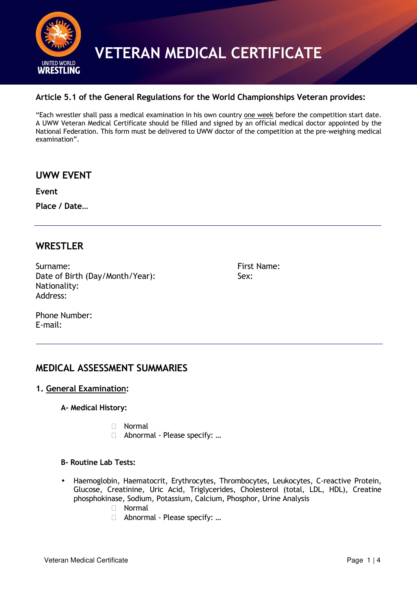

#### **Article 5.1 of the General Regulations for the World Championships Veteran provides:**

"Each wrestler shall pass a medical examination in his own country one week before the competition start date. A UWW Veteran Medical Certificate should be filled and signed by an official medical doctor appointed by the National Federation. This form must be delivered to UWW doctor of the competition at the pre-weighing medical examination".

**UWW EVENT** 

**Event** 

**Place / Date…** 

#### **WRESTLER**

Surname: First Name: Date of Birth (Day/Month/Year): Sex: Nationality: Address:

Phone Number: E-mail:

#### **MEDICAL ASSESSMENT SUMMARIES**

#### **1. General Examination:**

**A- Medical History:** 

 Normal Abnormal - Please specify: …

#### **B- Routine Lab Tests:**

• Haemoglobin, Haematocrit, Erythrocytes, Thrombocytes, Leukocytes, C-reactive Protein, Glucose, Creatinine, Uric Acid, Triglycerides, Cholesterol (total, LDL, HDL), Creatine phosphokinase, Sodium, Potassium, Calcium, Phosphor, Urine Analysis Normal Abnormal - Please specify: …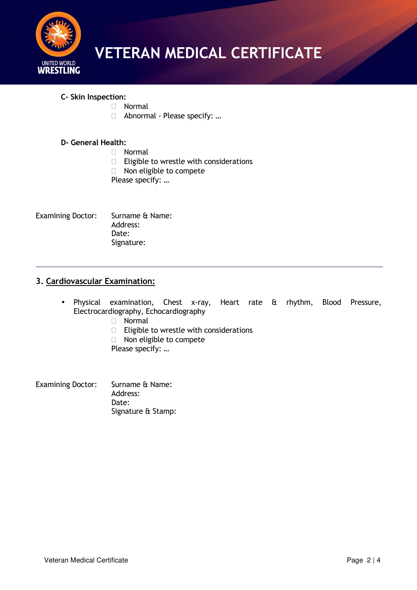

**C- Skin Inspection:** 

 Normal Abnormal - Please specify: …

#### **D- General Health:**

 Normal Eligible to wrestle with considerations Non eligible to compete Please specify: …

Examining Doctor: Surname & Name: Address: Date: Signature:

#### **3. Cardiovascular Examination:**

- Physical examination, Chest x-ray, Heart rate & rhythm, Blood Pressure, Electrocardiography, Echocardiography Normal Eligible to wrestle with considerations Non eligible to compete Please specify: …
- Examining Doctor: Surname & Name: Address: Date: Signature & Stamp: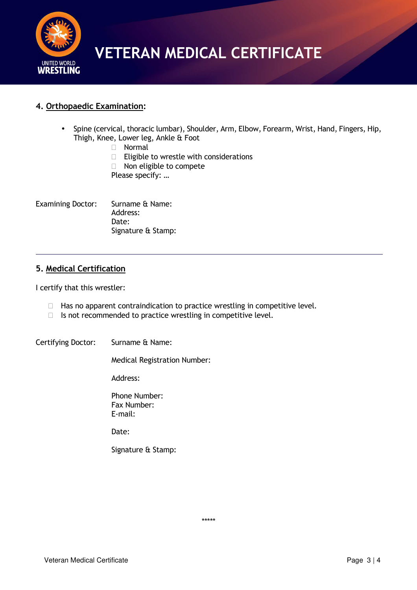

#### **4. Orthopaedic Examination:**

• Spine (cervical, thoracic lumbar), Shoulder, Arm, Elbow, Forearm, Wrist, Hand, Fingers, Hip, Thigh, Knee, Lower leg, Ankle & Foot

 Normal Eligible to wrestle with considerations Non eligible to compete Please specify: …

Examining Doctor: Surname & Name: Address: Date: Signature & Stamp:

#### **5. Medical Certification**

I certify that this wrestler:

 Has no apparent contraindication to practice wrestling in competitive level. Is not recommended to practice wrestling in competitive level.

Certifying Doctor: Surname & Name:

Medical Registration Number:

Address:

Phone Number: Fax Number: E-mail:

Date:

Signature & Stamp:

\*\*\*\*\*